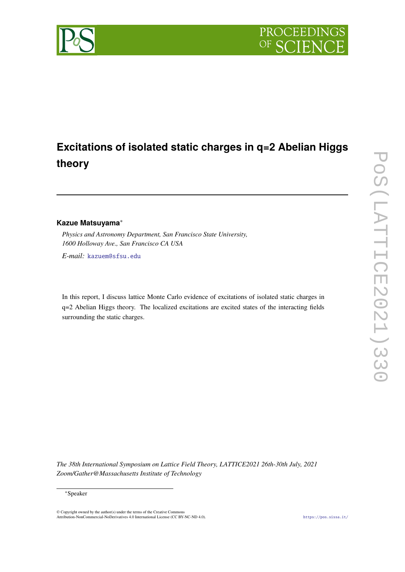

# **Excitations of isolated static charges in q=2 Abelian Higgs theory**

# **Kazue Matsuyama**<sup>∗</sup>

*Physics and Astronomy Department, San Francisco State University, 1600 Holloway Ave., San Francisco CA USA*

*E-mail:* [kazuem@sfsu.edu](mailto:kazuem@sfsu.edu)

In this report, I discuss lattice Monte Carlo evidence of excitations of isolated static charges in q=2 Abelian Higgs theory. The localized excitations are excited states of the interacting fields surrounding the static charges.

*The 38th International Symposium on Lattice Field Theory, LATTICE2021 26th-30th July, 2021 Zoom/Gather@Massachusetts Institute of Technology*

#### <sup>∗</sup>Speaker

© Copyright owned by the author(s) under the terms of the Creative Commons Attribution-NonCommercial-NoDerivatives 4.0 International License (CC BY-NC-ND 4.0). <https://pos.sissa.it/>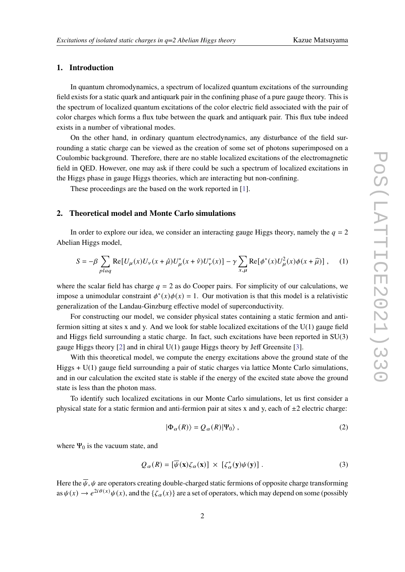### **1. Introduction**

In quantum chromodynamics, a spectrum of localized quantum excitations of the surrounding field exists for a static quark and antiquark pair in the confining phase of a pure gauge theory. This is the spectrum of localized quantum excitations of the color electric field associated with the pair of color charges which forms a flux tube between the quark and antiquark pair. This flux tube indeed exists in a number of vibrational modes.

On the other hand, in ordinary quantum electrodynamics, any disturbance of the field surrounding a static charge can be viewed as the creation of some set of photons superimposed on a Coulombic background. Therefore, there are no stable localized excitations of the electromagnetic field in QED. However, one may ask if there could be such a spectrum of localized excitations in the Higgs phase in gauge Higgs theories, which are interacting but non-confining.

These proceedings are the based on the work reported in [\[1\]](#page-6-0).

### **2. Theoretical model and Monte Carlo simulations**

In order to explore our idea, we consider an interacting gauge Higgs theory, namely the  $q = 2$ Abelian Higgs model,

$$
S = -\beta \sum_{plaq} \text{Re}[U_{\mu}(x)U_{\nu}(x+\hat{\mu})U_{\mu}^{*}(x+\hat{\nu})U_{\nu}^{*}(x)] - \gamma \sum_{x,\mu} \text{Re}[\phi^{*}(x)U_{\mu}^{2}(x)\phi(x+\hat{\mu})], \quad (1)
$$

where the scalar field has charge  $q = 2$  as do Cooper pairs. For simplicity of our calculations, we impose a unimodular constraint  $\phi^*(x)\phi(x) = 1$ . Our motivation is that this model is a relativistic generalization of the Landau-Ginzburg effective model of superconductivity.

For constructing our model, we consider physical states containing a static fermion and antifermion sitting at sites x and y. And we look for stable localized excitations of the U(1) gauge field and Higgs field surrounding a static charge. In fact, such excitations have been reported in SU(3) gauge Higgs theory [\[2\]](#page-6-1) and in chiral U(1) gauge Higgs theory by Jeff Greensite [\[3\]](#page-6-2).

With this theoretical model, we compute the energy excitations above the ground state of the Higgs + U(1) gauge field surrounding a pair of static charges via lattice Monte Carlo simulations, and in our calculation the excited state is stable if the energy of the excited state above the ground state is less than the photon mass.

To identify such localized excitations in our Monte Carlo simulations, let us first consider a physical state for a static fermion and anti-fermion pair at sites x and y, each of  $\pm 2$  electric charge:

$$
|\Phi_{\alpha}(R)\rangle = Q_{\alpha}(R)|\Psi_{0}\rangle , \qquad (2)
$$

where  $\Psi_0$  is the vacuum state, and

$$
Q_{\alpha}(R) = [\overline{\psi}(\mathbf{x})\zeta_{\alpha}(\mathbf{x})] \times [\zeta_{\alpha}^{*}(\mathbf{y})\psi(\mathbf{y})]. \tag{3}
$$

Here the  $\overline{\psi}$ ,  $\psi$  are operators creating double-charged static fermions of opposite charge transforming as  $\psi(x) \to e^{2i\theta(x)}\psi(x)$ , and the  $\{\zeta_\alpha(x)\}\$  are a set of operators, which may depend on some (possibly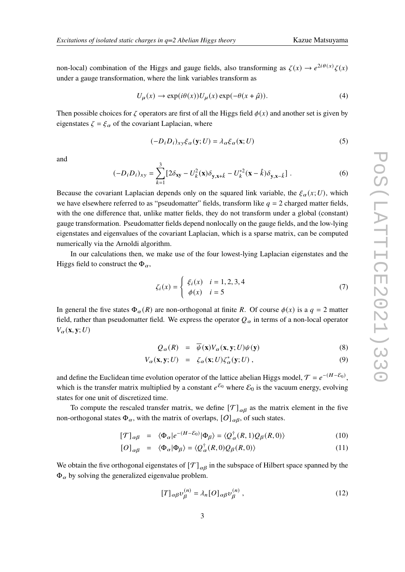non-local) combination of the Higgs and gauge fields, also transforming as  $\zeta(x) \to e^{2i\theta(x)}\zeta(x)$ under a gauge transformation, where the link variables transform as

$$
U_{\mu}(x) \to \exp(i\theta(x))U_{\mu}(x)\exp(-\theta(x+\hat{\mu})).
$$
\n(4)

Then possible choices for  $\zeta$  operators are first of all the Higgs field  $\phi(x)$  and another set is given by eigenstates  $\zeta = \xi_{\alpha}$  of the covariant Laplacian, where

$$
(-D_i D_i)_{xy} \xi_\alpha(\mathbf{y}; U) = \lambda_\alpha \xi_\alpha(\mathbf{x}; U)
$$
\n(5)

and

$$
(-D_i D_i)_{xy} = \sum_{k=1}^3 \left[ 2\delta_{xy} - U_k^2(\mathbf{x}) \delta_{y, x+\hat{k}} - U_k^{*2}(\mathbf{x} - \hat{k}) \delta_{y, x-\hat{k}} \right].
$$
 (6)

Because the covariant Laplacian depends only on the squared link variable, the  $\xi_{\alpha}(x;U)$ , which we have elsewhere referred to as "pseudomatter" fields, transform like  $q = 2$  charged matter fields, with the one difference that, unlike matter fields, they do not transform under a global (constant) gauge transformation. Pseudomatter fields depend nonlocally on the gauge fields, and the low-lying eigenstates and eigenvalues of the covariant Laplacian, which is a sparse matrix, can be computed numerically via the Arnoldi algorithm.

In our calculations then, we make use of the four lowest-lying Laplacian eigenstates and the Higgs field to construct the  $\Phi_{\alpha}$ ,

$$
\zeta_i(x) = \begin{cases} \xi_i(x) & i = 1, 2, 3, 4 \\ \phi(x) & i = 5 \end{cases}
$$
\n(7)

In general the five states  $\Phi_{\alpha}(R)$  are non-orthogonal at finite R. Of course  $\phi(x)$  is a  $q = 2$  matter field, rather than pseudomatter field. We express the operator  $Q_{\alpha}$  in terms of a non-local operator  $V_{\alpha}(\mathbf{x}, \mathbf{y}; U)$ 

$$
Q_{\alpha}(R) = \overline{\psi}(\mathbf{x})V_{\alpha}(\mathbf{x}, \mathbf{y}; U)\psi(\mathbf{y})
$$
\n(8)

$$
V_{\alpha}(\mathbf{x}, \mathbf{y}; U) = \zeta_{\alpha}(\mathbf{x}; U) \zeta_{\alpha}^{*}(\mathbf{y}; U), \qquad (9)
$$

and define the Euclidean time evolution operator of the lattice abelian Higgs model,  $\mathcal{T} = e^{-(H - \mathcal{E}_0)}$ , which is the transfer matrix multiplied by a constant  $e^{E_0}$  where  $E_0$  is the vacuum energy, evolving states for one unit of discretized time.

To compute the rescaled transfer matrix, we define  $[\mathcal{T}]_{\alpha\beta}$  as the matrix element in the five non-orthogonal states  $\Phi_{\alpha}$ , with the matrix of overlaps,  $[O]_{\alpha\beta}$ , of such states.

$$
[\mathcal{T}]_{\alpha\beta} = \langle \Phi_{\alpha} | e^{-(H-\mathcal{E}_0)} | \Phi_{\beta} \rangle = \langle Q_{\alpha}^{\dagger}(R,1) Q_{\beta}(R,0) \rangle \tag{10}
$$

$$
[O]_{\alpha\beta} = \langle \Phi_{\alpha} | \Phi_{\beta} \rangle = \langle Q_{\alpha}^{\dagger}(R,0)Q_{\beta}(R,0) \rangle \tag{11}
$$

We obtain the five orthogonal eigenstates of  $[\mathcal{T}]_{\alpha\beta}$  in the subspace of Hilbert space spanned by the  $\Phi_{\alpha}$  by solving the generalized eigenvalue problem.

$$
[T]_{\alpha\beta}v_{\beta}^{(n)} = \lambda_n [O]_{\alpha\beta}v_{\beta}^{(n)}, \qquad (12)
$$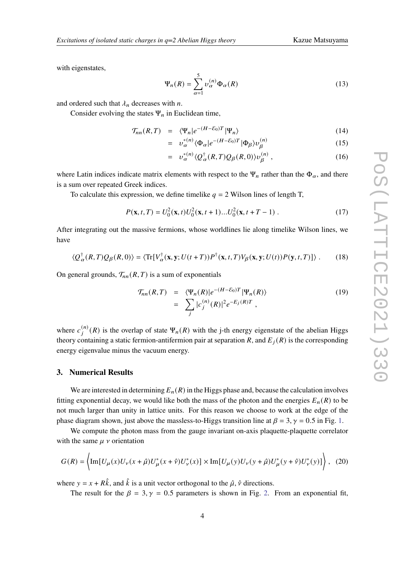with eigenstates,

$$
\Psi_n(R) = \sum_{\alpha=1}^5 \nu_{\alpha}^{(n)} \Phi_{\alpha}(R)
$$
\n(13)

and ordered such that  $\lambda_n$  decreases with *n*.

Consider evolving the states  $\Psi_n$  in Euclidean time,

$$
\mathcal{T}_{nn}(R,T) = \langle \Psi_n | e^{-(H-\mathcal{E}_0)T} | \Psi_n \rangle \tag{14}
$$

$$
= v_{\alpha}^{*(n)} \langle \Phi_{\alpha} | e^{-(H-\mathcal{E}_0)T} | \Phi_{\beta} \rangle v_{\beta}^{(n)} \tag{15}
$$

$$
= v_{\alpha}^{*(n)} \langle Q_{\alpha}^{\dagger}(R,T)Q_{\beta}(R,0) \rangle v_{\beta}^{(n)} , \qquad (16)
$$

where Latin indices indicate matrix elements with respect to the  $\Psi_n$  rather than the  $\Phi_\alpha$ , and there is a sum over repeated Greek indices.

To calculate this expression, we define timelike  $q = 2$  Wilson lines of length T,

$$
P(\mathbf{x}, t, T) = U_0^2(\mathbf{x}, t)U_0^2(\mathbf{x}, t+1)...U_0^2(\mathbf{x}, t+T-1) \tag{17}
$$

After integrating out the massive fermions, whose worldlines lie along timelike Wilson lines, we have

$$
\langle Q_{\alpha}^{\dagger}(R,T)Q_{\beta}(R,0)\rangle = \langle \text{Tr}[V_{\alpha}^{\dagger}(\mathbf{x},\mathbf{y};U(t+T))P^{\dagger}(\mathbf{x},t,T)V_{\beta}(\mathbf{x},\mathbf{y};U(t))P(\mathbf{y},t,T)]\rangle. \tag{18}
$$

On general grounds,  $\mathcal{T}_{nn}(R, T)$  is a sum of exponentials

$$
\mathcal{T}_{nn}(R,T) = \langle \Psi_n(R) | e^{-(H-\mathcal{E}_0)T} | \Psi_n(R) \rangle
$$
  
= 
$$
\sum_j |c_j^{(n)}(R)|^2 e^{-E_j(R)T},
$$
 (19)

where  $c_j^{(n)}(R)$  is the overlap of state  $\Psi_n(R)$  with the j-th energy eigenstate of the abelian Higgs theory containing a static fermion-antifermion pair at separation R, and  $E_i(R)$  is the corresponding energy eigenvalue minus the vacuum energy.

#### **3. Numerical Results**

We are interested in determining  $E_n(R)$  in the Higgs phase and, because the calculation involves fitting exponential decay, we would like both the mass of the photon and the energies  $E_n(R)$  to be not much larger than unity in lattice units. For this reason we choose to work at the edge of the phase diagram shown, just above the massless-to-Higgs transition line at  $\beta = 3$ ,  $\gamma = 0.5$  in Fig. [1.](#page-4-0)

We compute the photon mass from the gauge invariant on-axis plaquette-plaquette correlator with the same  $\mu$  v orientation

$$
G(R) = \left\{ \text{Im}[U_{\mu}(x)U_{\nu}(x+\hat{\mu})U_{\mu}^{*}(x+\hat{\nu})U_{\nu}^{*}(x)] \times \text{Im}[U_{\mu}(y)U_{\nu}(y+\hat{\mu})U_{\mu}^{*}(y+\hat{\nu})U_{\nu}^{*}(y)] \right\}, (20)
$$

where  $y = x + R\hat{k}$ , and  $\hat{k}$  is a unit vector orthogonal to the  $\hat{\mu}$ ,  $\hat{v}$  directions.

The result for the  $\beta = 3, \gamma = 0.5$  parameters is shown in Fig. [2.](#page-4-1) From an exponential fit,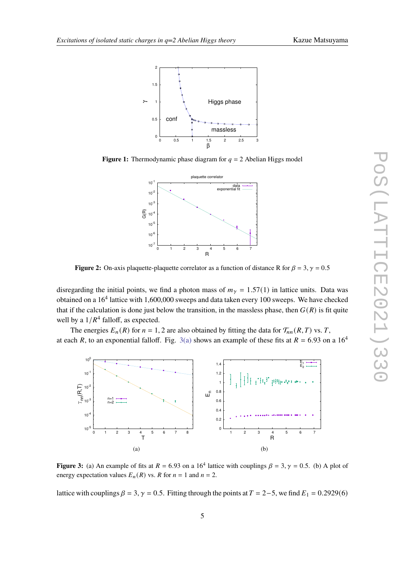<span id="page-4-0"></span>

<span id="page-4-1"></span>**Figure 1:** Thermodynamic phase diagram for  $q = 2$  Abelian Higgs model



**Figure 2:** On-axis plaquette-plaquette correlator as a function of distance R for  $\beta = 3$ ,  $\gamma = 0.5$ 

disregarding the initial points, we find a photon mass of  $m<sub>y</sub> = 1.57(1)$  in lattice units. Data was obtained on a  $16<sup>4</sup>$  lattice with 1,600,000 sweeps and data taken every 100 sweeps. We have checked that if the calculation is done just below the transition, in the massless phase, then  $G(R)$  is fit quite well by a  $1/R<sup>4</sup>$  falloff, as expected.

The energies  $E_n(R)$  for  $n = 1, 2$  are also obtained by fitting the data for  $\mathcal{T}_{nn}(R, T)$  vs. T, at each R, to an exponential falloff. Fig. [3\(a\)](#page-4-2) shows an example of these fits at  $R = 6.93$  on a 16<sup>4</sup>

<span id="page-4-2"></span>

<span id="page-4-3"></span>**Figure 3:** (a) An example of fits at  $R = 6.93$  on a 16<sup>4</sup> lattice with couplings  $\beta = 3, \gamma = 0.5$ . (b) A plot of energy expectation values  $E_n(R)$  vs. R for  $n = 1$  and  $n = 2$ .

lattice with couplings  $\beta = 3$ ,  $\gamma = 0.5$ . Fitting through the points at  $T = 2-5$ , we find  $E_1 = 0.2929(6)$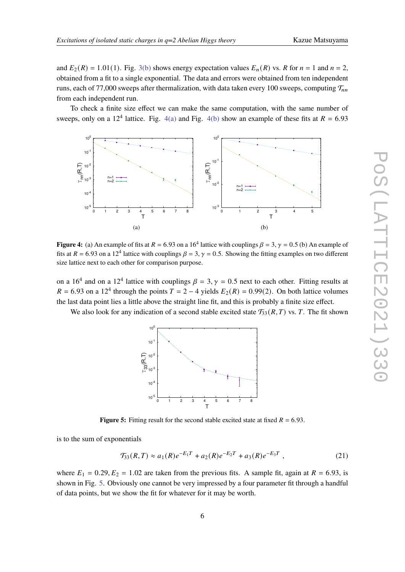and  $E_2(R) = 1.01(1)$ . Fig. [3\(b\)](#page-4-3) shows energy expectation values  $E_n(R)$  vs. R for  $n = 1$  and  $n = 2$ , obtained from a fit to a single exponential. The data and errors were obtained from ten independent runs, each of 77,000 sweeps after thermalization, with data taken every 100 sweeps, computing  $\mathcal{T}_{nn}$ from each independent run.

To check a finite size effect we can make the same computation, with the same number of sweeps, only on a 12<sup>4</sup> lattice. Fig.  $4(a)$  and Fig.  $4(b)$  show an example of these fits at  $R = 6.93$ 

<span id="page-5-0"></span>

**Figure 4:** (a) An example of fits at  $R = 6.93$  on a 16<sup>4</sup> lattice with couplings  $\beta = 3$ ,  $\gamma = 0.5$  (b) An example of fits at  $R = 6.93$  on a 12<sup>4</sup> lattice with couplings  $\beta = 3$ ,  $\gamma = 0.5$ . Showing the fitting examples on two different size lattice next to each other for comparison purpose.

on a 16<sup>4</sup> and on a 12<sup>4</sup> lattice with couplings  $\beta = 3$ ,  $\gamma = 0.5$  next to each other. Fitting results at  $R = 6.93$  on a 12<sup>4</sup> through the points  $T = 2 - 4$  yields  $E_2(R) = 0.99(2)$ . On both lattice volumes the last data point lies a little above the straight line fit, and this is probably a finite size effect.

<span id="page-5-2"></span>We also look for any indication of a second stable excited state  $\mathcal{T}_{33}(R, T)$  vs. T. The fit shown

<span id="page-5-1"></span>

**Figure 5:** Fitting result for the second stable excited state at fixed  $R = 6.93$ .

is to the sum of exponentials

$$
\mathcal{T}_{33}(R,T) \approx a_1(R)e^{-E_1T} + a_2(R)e^{-E_2T} + a_3(R)e^{-E_3T} , \qquad (21)
$$

where  $E_1 = 0.29, E_2 = 1.02$  are taken from the previous fits. A sample fit, again at  $R = 6.93$ , is shown in Fig. [5.](#page-5-2) Obviously one cannot be very impressed by a four parameter fit through a handful of data points, but we show the fit for whatever for it may be worth.